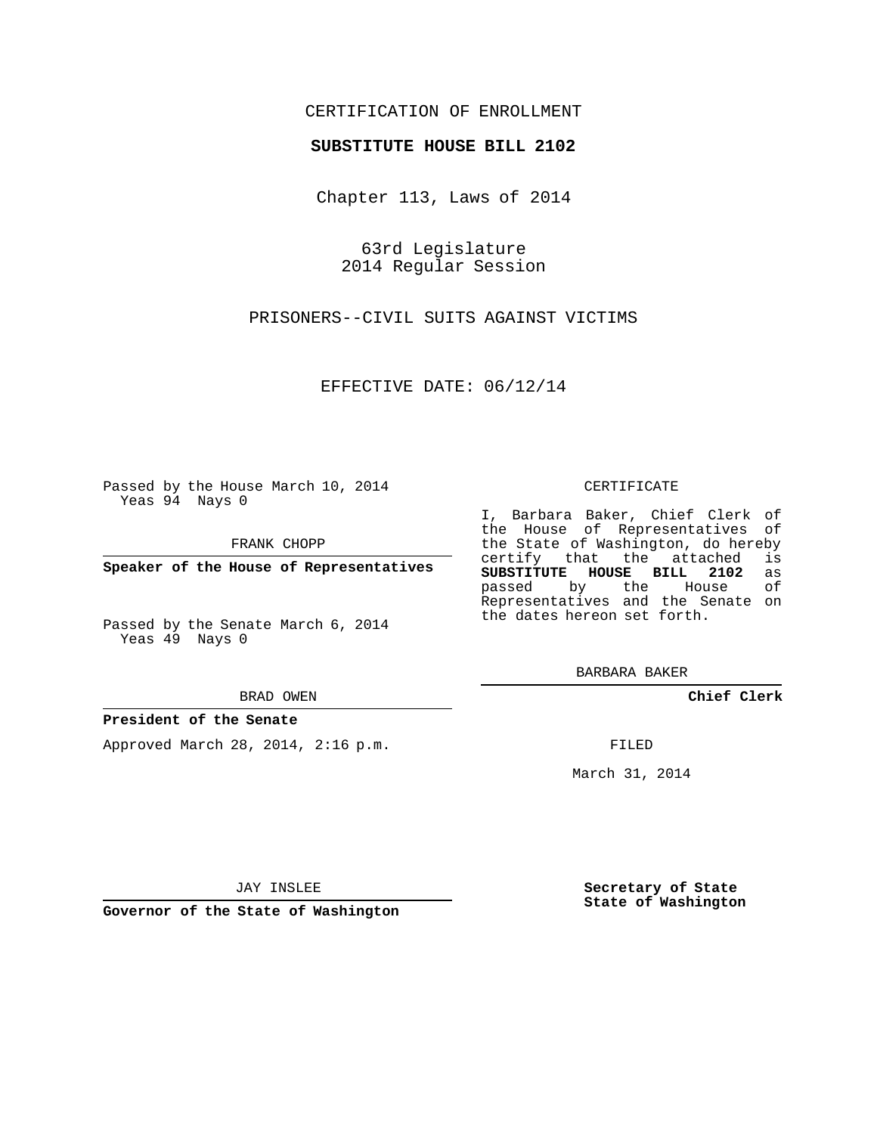## CERTIFICATION OF ENROLLMENT

#### **SUBSTITUTE HOUSE BILL 2102**

Chapter 113, Laws of 2014

63rd Legislature 2014 Regular Session

PRISONERS--CIVIL SUITS AGAINST VICTIMS

EFFECTIVE DATE: 06/12/14

Passed by the House March 10, 2014 Yeas 94 Nays 0

FRANK CHOPP

**Speaker of the House of Representatives**

Passed by the Senate March 6, 2014 Yeas 49 Nays 0

BRAD OWEN

#### **President of the Senate**

Approved March 28, 2014, 2:16 p.m.

CERTIFICATE

I, Barbara Baker, Chief Clerk of the House of Representatives of the State of Washington, do hereby<br>certify that the attached is certify that the attached is<br>SUBSTITUTE HOUSE BILL 2102 as **SUBSTITUTE HOUSE BILL 2102** as passed by the Representatives and the Senate on the dates hereon set forth.

BARBARA BAKER

**Chief Clerk**

FILED

March 31, 2014

JAY INSLEE

**Governor of the State of Washington**

**Secretary of State State of Washington**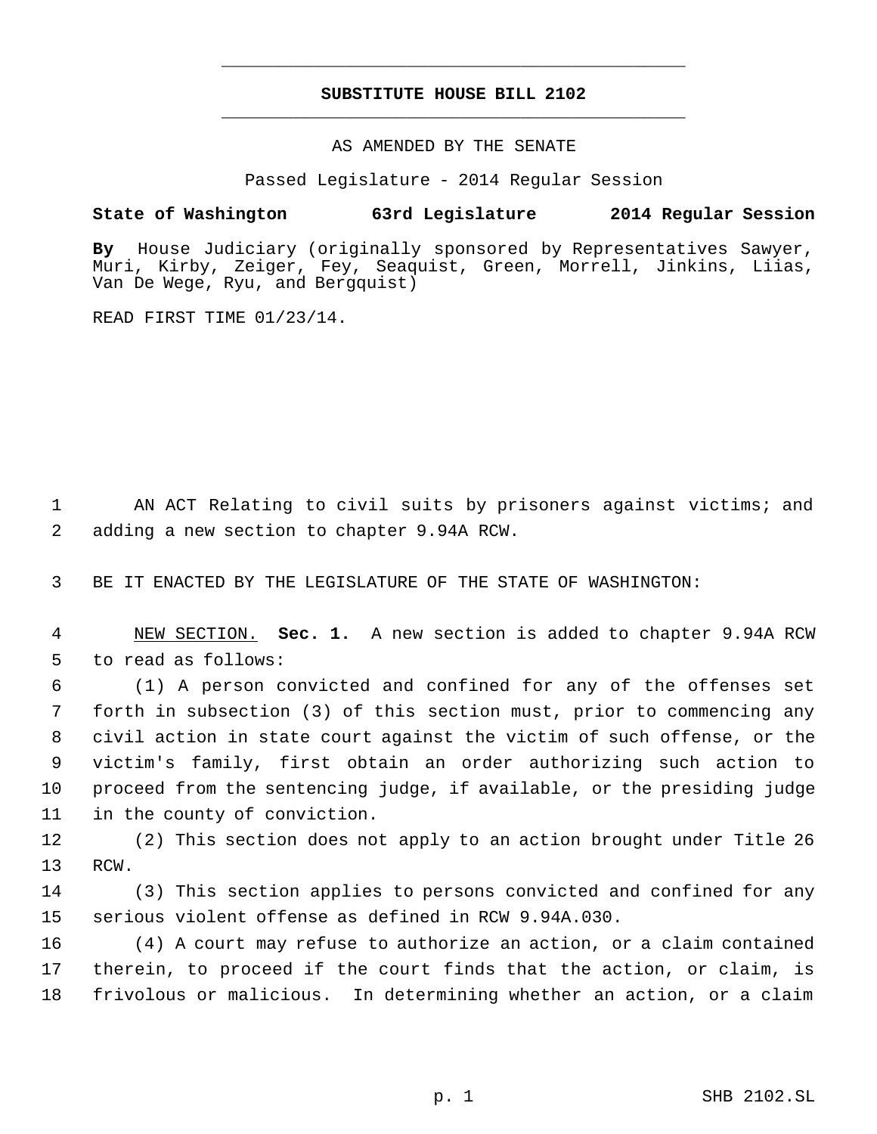# **SUBSTITUTE HOUSE BILL 2102** \_\_\_\_\_\_\_\_\_\_\_\_\_\_\_\_\_\_\_\_\_\_\_\_\_\_\_\_\_\_\_\_\_\_\_\_\_\_\_\_\_\_\_\_\_

\_\_\_\_\_\_\_\_\_\_\_\_\_\_\_\_\_\_\_\_\_\_\_\_\_\_\_\_\_\_\_\_\_\_\_\_\_\_\_\_\_\_\_\_\_

AS AMENDED BY THE SENATE

Passed Legislature - 2014 Regular Session

### **State of Washington 63rd Legislature 2014 Regular Session**

**By** House Judiciary (originally sponsored by Representatives Sawyer, Muri, Kirby, Zeiger, Fey, Seaquist, Green, Morrell, Jinkins, Liias, Van De Wege, Ryu, and Bergquist)

READ FIRST TIME 01/23/14.

 AN ACT Relating to civil suits by prisoners against victims; and adding a new section to chapter 9.94A RCW.

BE IT ENACTED BY THE LEGISLATURE OF THE STATE OF WASHINGTON:

 NEW SECTION. **Sec. 1.** A new section is added to chapter 9.94A RCW to read as follows:

 (1) A person convicted and confined for any of the offenses set forth in subsection (3) of this section must, prior to commencing any civil action in state court against the victim of such offense, or the victim's family, first obtain an order authorizing such action to proceed from the sentencing judge, if available, or the presiding judge in the county of conviction.

 (2) This section does not apply to an action brought under Title 26 RCW.

 (3) This section applies to persons convicted and confined for any serious violent offense as defined in RCW 9.94A.030.

 (4) A court may refuse to authorize an action, or a claim contained therein, to proceed if the court finds that the action, or claim, is frivolous or malicious. In determining whether an action, or a claim